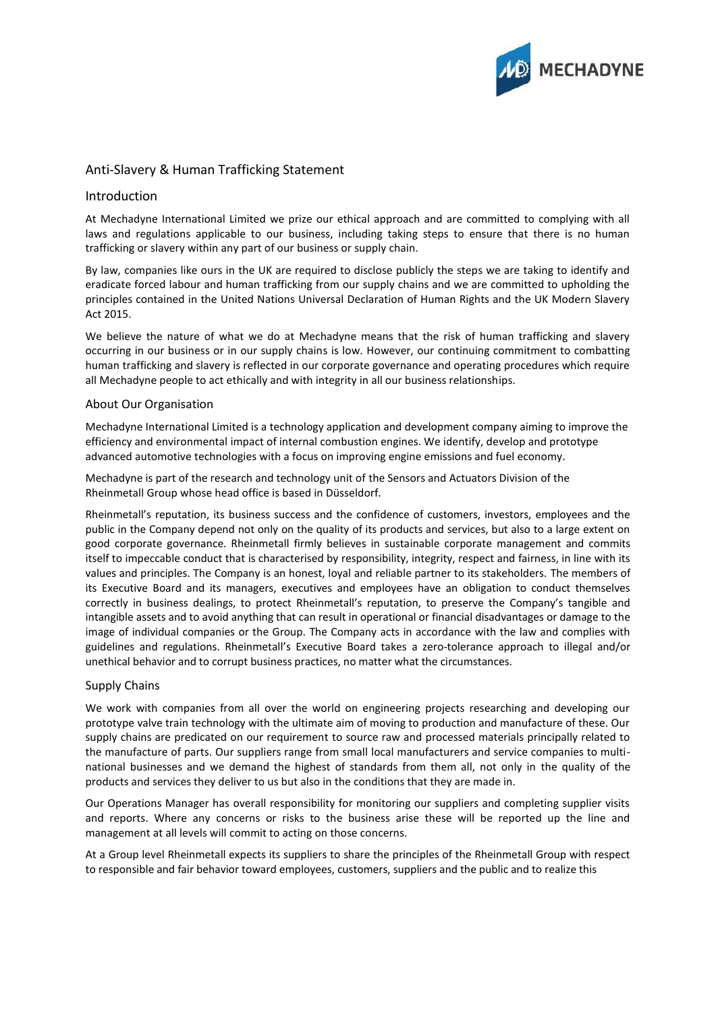

# Anti-Slavery & Human Trafficking Statement

## Introduction

At Mechadyne International Limited we prize our ethical approach and are committed to complying with all laws and regulations applicable to our business, including taking steps to ensure that there is no human trafficking or slavery within any part of our business or supply chain.

By law, companies like ours in the UK are required to disclose publicly the steps we are taking to identify and eradicate forced labour and human trafficking from our supply chains and we are committed to upholding the principles contained in the United Nations Universal Declaration of Human Rights and the UK Modern Slavery Act 2015.

We believe the nature of what we do at Mechadyne means that the risk of human trafficking and slavery occurring in our business or in our supply chains is low. However, our continuing commitment to combatting human trafficking and slavery is reflected in our corporate governance and operating procedures which require all Mechadyne people to act ethically and with integrity in all our business relationships.

### About Our Organisation

Mechadyne International Limited is a technology application and development company aiming to improve the efficiency and environmental impact of internal combustion engines. We identify, develop and prototype advanced automotive technologies with a focus on improving engine emissions and fuel economy.

Mechadyne is part of the research and technology unit of the Sensors and Actuators Division of the Rheinmetall Group whose head office is based in Düsseldorf.

Rheinmetall's reputation, its business success and the confidence of customers, investors, employees and the public in the Company depend not only on the quality of its products and services, but also to a large extent on good corporate governance. Rheinmetall firmly believes in sustainable corporate management and commits itself to impeccable conduct that is characterised by responsibility, integrity, respect and fairness, in line with its values and principles. The Company is an honest, loyal and reliable partner to its stakeholders. The members of its Executive Board and its managers, executives and employees have an obligation to conduct themselves correctly in business dealings, to protect Rheinmetall's reputation, to preserve the Company's tangible and intangible assets and to avoid anything that can result in operational or financial disadvantages or damage to the image of individual companies or the Group. The Company acts in accordance with the law and complies with guidelines and regulations. Rheinmetall's Executive Board takes a zero-tolerance approach to illegal and/or unethical behavior and to corrupt business practices, no matter what the circumstances.

#### Supply Chains

We work with companies from all over the world on engineering projects researching and developing our prototype valve train technology with the ultimate aim of moving to production and manufacture of these. Our supply chains are predicated on our requirement to source raw and processed materials principally related to the manufacture of parts. Our suppliers range from small local manufacturers and service companies to multinational businesses and we demand the highest of standards from them all, not only in the quality of the products and services they deliver to us but also in the conditions that they are made in.

Our Operations Manager has overall responsibility for monitoring our suppliers and completing supplier visits and reports. Where any concerns or risks to the business arise these will be reported up the line and management at all levels will commit to acting on those concerns.

At a Group level Rheinmetall expects its suppliers to share the principles of the Rheinmetall Group with respect to responsible and fair behavior toward employees, customers, suppliers and the public and to realize this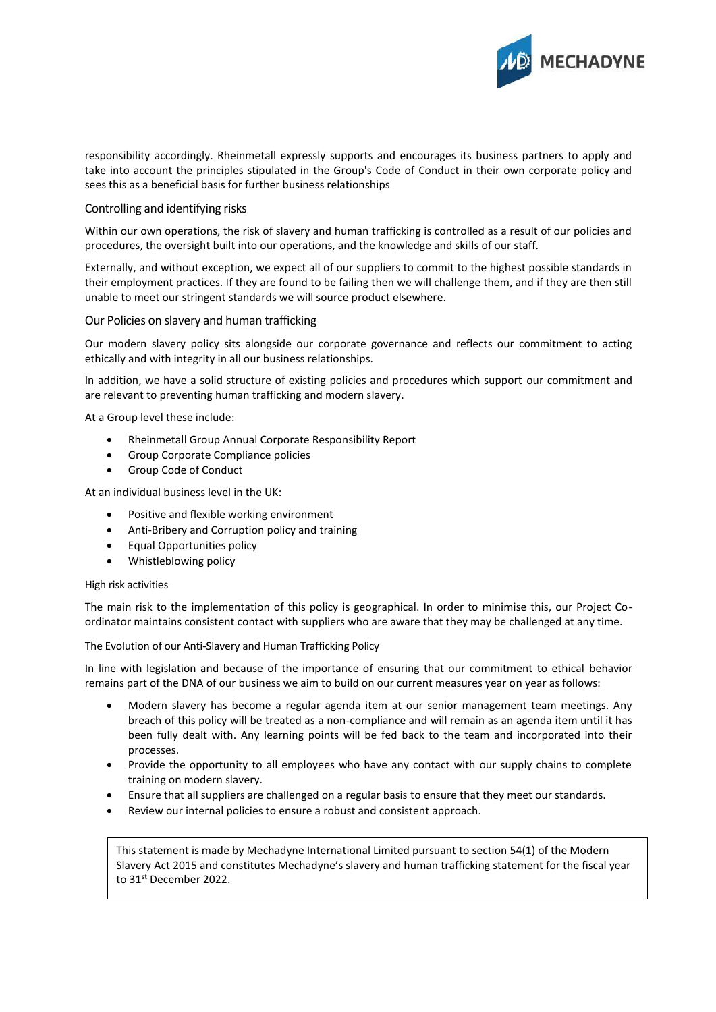

responsibility accordingly. Rheinmetall expressly supports and encourages its business partners to apply and take into account the principles stipulated in the Group's Code of Conduct in their own corporate policy and sees this as a beneficial basis for further business relationships

#### Controlling and identifying risks

Within our own operations, the risk of slavery and human trafficking is controlled as a result of our policies and procedures, the oversight built into our operations, and the knowledge and skills of our staff.

Externally, and without exception, we expect all of our suppliers to commit to the highest possible standards in their employment practices. If they are found to be failing then we will challenge them, and if they are then still unable to meet our stringent standards we will source product elsewhere.

#### Our Policies on slavery and human trafficking

Our modern slavery policy sits alongside our corporate governance and reflects our commitment to acting ethically and with integrity in all our business relationships.

In addition, we have a solid structure of existing policies and procedures which support our commitment and are relevant to preventing human trafficking and modern slavery.

At a Group level these include:

- Rheinmetall Group Annual Corporate Responsibility Report
- Group Corporate Compliance policies
- Group Code of Conduct

At an individual business level in the UK:

- Positive and flexible working environment
- Anti-Bribery and Corruption policy and training
- Equal Opportunities policy
- Whistleblowing policy

#### High risk activities

The main risk to the implementation of this policy is geographical. In order to minimise this, our Project Coordinator maintains consistent contact with suppliers who are aware that they may be challenged at any time.

The Evolution of our Anti-Slavery and Human Trafficking Policy

In line with legislation and because of the importance of ensuring that our commitment to ethical behavior remains part of the DNA of our business we aim to build on our current measures year on year as follows:

- Modern slavery has become a regular agenda item at our senior management team meetings. Any breach of this policy will be treated as a non-compliance and will remain as an agenda item until it has been fully dealt with. Any learning points will be fed back to the team and incorporated into their processes.
- Provide the opportunity to all employees who have any contact with our supply chains to complete training on modern slavery.
- Ensure that all suppliers are challenged on a regular basis to ensure that they meet our standards.
- Review our internal policies to ensure a robust and consistent approach.

This statement is made by Mechadyne International Limited pursuant to section 54(1) of the Modern Slavery Act 2015 and constitutes Mechadyne's slavery and human trafficking statement for the fiscal year to 31<sup>st</sup> December 2022.